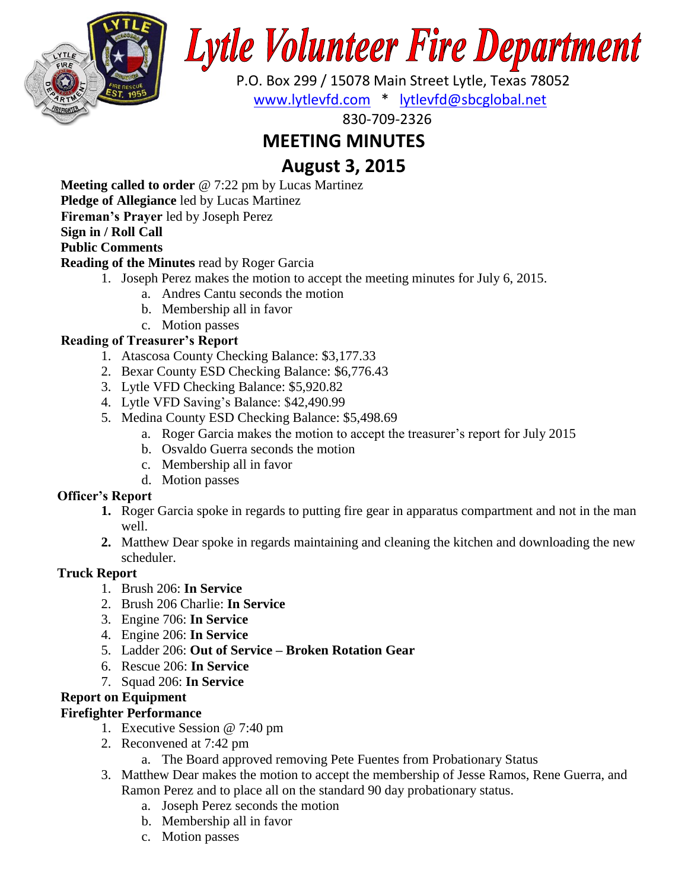

# **Lytle Volunteer Fire Department**

 P.O. Box 299 / 15078 Main Street Lytle, Texas 78052 [www.lytlevfd.com](http://www.lytlevfd.com/) \* [lytlevfd@sbcglobal.net](mailto:lytlevfd@sbcglobal.net)

830-709-2326

# **MEETING MINUTES**

# **August 3, 2015**

**Meeting called to order** @ 7:22 pm by Lucas Martinez

**Pledge of Allegiance** led by Lucas Martinez

**Fireman's Prayer** led by Joseph Perez

## **Sign in / Roll Call**

## **Public Comments**

#### **Reading of the Minutes** read by Roger Garcia

- 1. Joseph Perez makes the motion to accept the meeting minutes for July 6, 2015.
	- a. Andres Cantu seconds the motion
	- b. Membership all in favor
	- c. Motion passes

### **Reading of Treasurer's Report**

- 1. Atascosa County Checking Balance: \$3,177.33
- 2. Bexar County ESD Checking Balance: \$6,776.43
- 3. Lytle VFD Checking Balance: \$5,920.82
- 4. Lytle VFD Saving's Balance: \$42,490.99
- 5. Medina County ESD Checking Balance: \$5,498.69
	- a. Roger Garcia makes the motion to accept the treasurer's report for July 2015
	- b. Osvaldo Guerra seconds the motion
	- c. Membership all in favor
	- d. Motion passes

### **Officer's Report**

- **1.** Roger Garcia spoke in regards to putting fire gear in apparatus compartment and not in the man well.
- **2.** Matthew Dear spoke in regards maintaining and cleaning the kitchen and downloading the new scheduler.

### **Truck Report**

- 1. Brush 206: **In Service**
- 2. Brush 206 Charlie: **In Service**
- 3. Engine 706: **In Service**
- 4. Engine 206: **In Service**
- 5. Ladder 206: **Out of Service – Broken Rotation Gear**
- 6. Rescue 206: **In Service**
- 7. Squad 206: **In Service**

### **Report on Equipment**

### **Firefighter Performance**

- 1. Executive Session @ 7:40 pm
- 2. Reconvened at 7:42 pm
	- a. The Board approved removing Pete Fuentes from Probationary Status
- 3. Matthew Dear makes the motion to accept the membership of Jesse Ramos, Rene Guerra, and Ramon Perez and to place all on the standard 90 day probationary status.
	- a. Joseph Perez seconds the motion
	- b. Membership all in favor
	- c. Motion passes